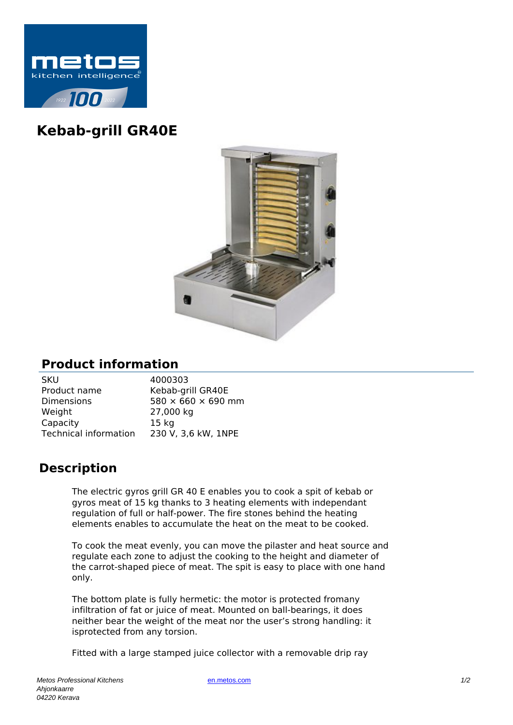

## **Kebab-grill GR40E**



## **Product information**

| 4000303                        |
|--------------------------------|
| Kebab-grill GR40E              |
| $580 \times 660 \times 690$ mm |
| 27,000 kg                      |
| 15 <sub>kg</sub>               |
| 230 V, 3,6 kW, 1NPE            |
|                                |

## **Description**

The electric gyros grill GR 40 E enables you to cook a spit of kebab or gyros meat of 15 kg thanks to 3 heating elements with independant regulation of full or half-power. The fire stones behind the heating elements enables to accumulate the heat on the meat to be cooked.

To cook the meat evenly, you can move the pilaster and heat source and regulate each zone to adjust the cooking to the height and diameter of the carrot-shaped piece of meat. The spit is easy to place with one hand only.

The bottom plate is fully hermetic: the motor is protected fromany infiltration of fat or juice of meat. Mounted on ball-bearings, it does neither bear the weight of the meat nor the user's strong handling: it isprotected from any torsion.

Fitted with a large stamped juice collector with a removable drip ray